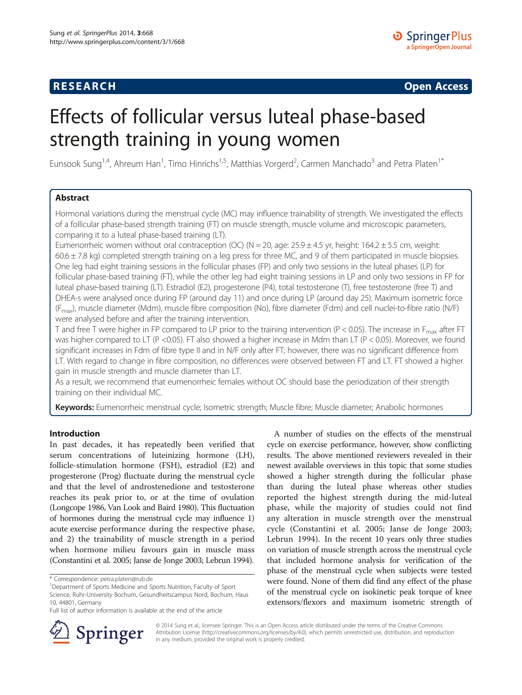# **RESEARCH CHINESE ARCH CHINESE ARCH CHINESE ARCH <b>CHINESE ARCH**

# Effects of follicular versus luteal phase-based strength training in young women

Eunsook Sung<sup>1,4</sup>, Ahreum Han<sup>1</sup>, Timo Hinrichs<sup>1,5</sup>, Matthias Vorgerd<sup>2</sup>, Carmen Manchado<sup>3</sup> and Petra Platen<sup>1\*</sup>

# Abstract

Hormonal variations during the menstrual cycle (MC) may influence trainability of strength. We investigated the effects of a follicular phase-based strength training (FT) on muscle strength, muscle volume and microscopic parameters, comparing it to a luteal phase-based training (LT).

Eumenorrheic women without oral contraception (OC) (N = 20, age:  $25.9 \pm 4.5$  yr, height: 164.2  $\pm$  5.5 cm, weight: 60.6 ± 7.8 kg) completed strength training on a leg press for three MC, and 9 of them participated in muscle biopsies. One leg had eight training sessions in the follicular phases (FP) and only two sessions in the luteal phases (LP) for follicular phase-based training (FT), while the other leg had eight training sessions in LP and only two sessions in FP for luteal phase-based training (LT). Estradiol (E2), progesterone (P4), total testosterone (T), free testosterone (free T) and DHEA-s were analysed once during FP (around day 11) and once during LP (around day 25). Maximum isometric force  $(F<sub>max</sub>)$ , muscle diameter (Mdm), muscle fibre composition (No), fibre diameter (Fdm) and cell nuclei-to-fibre ratio (N/F) were analysed before and after the training intervention.

T and free T were higher in FP compared to LP prior to the training intervention (P < 0.05). The increase in  $F_{\text{max}}$  after FT was higher compared to LT (P < 0.05). FT also showed a higher increase in Mdm than LT (P < 0.05). Moreover, we found significant increases in Fdm of fibre type ΙΙ and in N/F only after FT; however, there was no significant difference from LT. With regard to change in fibre composition, no differences were observed between FT and LT. FT showed a higher gain in muscle strength and muscle diameter than LT.

As a result, we recommend that eumenorrheic females without OC should base the periodization of their strength training on their individual MC.

Keywords: Eumenorrheic menstrual cycle; Isometric strength; Muscle fibre; Muscle diameter; Anabolic hormones

# Introduction

In past decades, it has repeatedly been verified that serum concentrations of luteinizing hormone (LH), follicle-stimulation hormone (FSH), estradiol (E2) and progesterone (Prog) fluctuate during the menstrual cycle and that the level of androstenedione and testosterone reaches its peak prior to, or at the time of ovulation (Longcope [1986,](#page-9-0) Van Look and Baird [1980\)](#page-9-0). This fluctuation of hormones during the menstrual cycle may influence 1) acute exercise performance during the respective phase, and 2) the trainability of muscle strength in a period when hormone milieu favours gain in muscle mass (Constantini et al. [2005;](#page-9-0) Janse de Jonge [2003](#page-9-0); Lebrun [1994\)](#page-9-0).

A number of studies on the effects of the menstrual cycle on exercise performance, however, show conflicting results. The above mentioned reviewers revealed in their newest available overviews in this topic that some studies showed a higher strength during the follicular phase than during the luteal phase whereas other studies reported the highest strength during the mid-luteal phase, while the majority of studies could not find any alteration in muscle strength over the menstrual cycle (Constantini et al. [2005](#page-9-0); Janse de Jonge [2003](#page-9-0); Lebrun [1994\)](#page-9-0). In the recent 10 years only three studies on variation of muscle strength across the menstrual cycle that included hormone analysis for verification of the phase of the menstrual cycle when subjects were tested were found. None of them did find any effect of the phase of the menstrual cycle on isokinetic peak torque of knee extensors/flexors and maximum isometric strength of



© 2014 Sung et al.; licensee Springer. This is an Open Access article distributed under the terms of the Creative Commons Attribution License [\(http://creativecommons.org/licenses/by/4.0\)](http://creativecommons.org/licenses/by/4.0), which permits unrestricted use, distribution, and reproduction in any medium, provided the original work is properly credited.

<sup>\*</sup> Correspondence: [petra.platen@rub.de](mailto:petra.platen@rub.de) <sup>1</sup>

Department of Sports Medicine and Sports Nutrition, Faculty of Sport Science, Ruhr-University Bochum, Gesundheitscampus Nord, Bochum, Haus 10, 44801, Germany

Full list of author information is available at the end of the article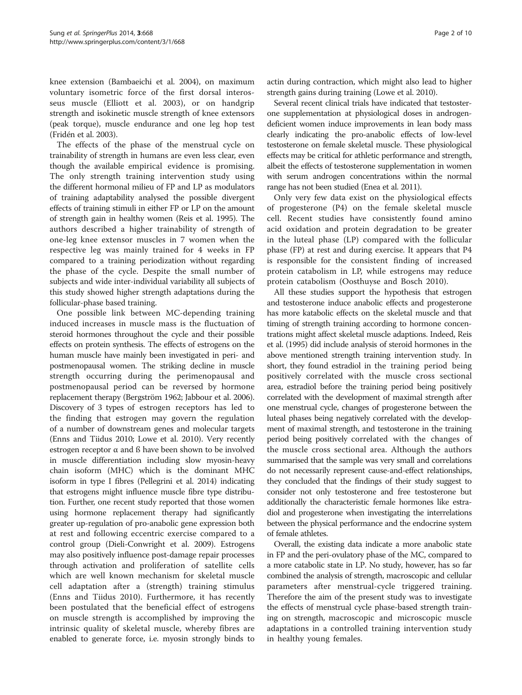knee extension (Bambaeichi et al. [2004\)](#page-9-0), on maximum voluntary isometric force of the first dorsal interosseus muscle (Elliott et al. [2003](#page-9-0)), or on handgrip strength and isokinetic muscle strength of knee extensors (peak torque), muscle endurance and one leg hop test (Fridén et al. [2003](#page-9-0)).

The effects of the phase of the menstrual cycle on trainability of strength in humans are even less clear, even though the available empirical evidence is promising. The only strength training intervention study using the different hormonal milieu of FP and LP as modulators of training adaptability analysed the possible divergent effects of training stimuli in either FP or LP on the amount of strength gain in healthy women (Reis et al. [1995](#page-9-0)). The authors described a higher trainability of strength of one-leg knee extensor muscles in 7 women when the respective leg was mainly trained for 4 weeks in FP compared to a training periodization without regarding the phase of the cycle. Despite the small number of subjects and wide inter-individual variability all subjects of this study showed higher strength adaptations during the follicular-phase based training.

One possible link between MC-depending training induced increases in muscle mass is the fluctuation of steroid hormones throughout the cycle and their possible effects on protein synthesis. The effects of estrogens on the human muscle have mainly been investigated in peri- and postmenopausal women. The striking decline in muscle strength occurring during the perimenopausal and postmenopausal period can be reversed by hormone replacement therapy (Bergström [1962](#page-9-0); Jabbour et al. [2006](#page-9-0)). Discovery of 3 types of estrogen receptors has led to the finding that estrogen may govern the regulation of a number of downstream genes and molecular targets (Enns and Tiidus [2010](#page-9-0); Lowe et al. [2010\)](#page-9-0). Very recently estrogen receptor α and ß have been shown to be involved in muscle differentiation including slow myosin-heavy chain isoform (MHC) which is the dominant MHC isoform in type I fibres (Pellegrini et al. [2014](#page-9-0)) indicating that estrogens might influence muscle fibre type distribution. Further, one recent study reported that those women using hormone replacement therapy had significantly greater up-regulation of pro-anabolic gene expression both at rest and following eccentric exercise compared to a control group (Dieli-Conwright et al. [2009\)](#page-9-0). Estrogens may also positively influence post-damage repair processes through activation and proliferation of satellite cells which are well known mechanism for skeletal muscle cell adaptation after a (strength) training stimulus (Enns and Tiidus [2010](#page-9-0)). Furthermore, it has recently been postulated that the beneficial effect of estrogens on muscle strength is accomplished by improving the intrinsic quality of skeletal muscle, whereby fibres are enabled to generate force, i.e. myosin strongly binds to

actin during contraction, which might also lead to higher strength gains during training (Lowe et al. [2010](#page-9-0)).

Several recent clinical trials have indicated that testosterone supplementation at physiological doses in androgendeficient women induce improvements in lean body mass clearly indicating the pro-anabolic effects of low-level testosterone on female skeletal muscle. These physiological effects may be critical for athletic performance and strength, albeit the effects of testosterone supplementation in women with serum androgen concentrations within the normal range has not been studied (Enea et al. [2011](#page-9-0)).

Only very few data exist on the physiological effects of progesterone (P4) on the female skeletal muscle cell. Recent studies have consistently found amino acid oxidation and protein degradation to be greater in the luteal phase (LP) compared with the follicular phase (FP) at rest and during exercise. It appears that P4 is responsible for the consistent finding of increased protein catabolism in LP, while estrogens may reduce protein catabolism (Oosthuyse and Bosch [2010](#page-9-0)).

All these studies support the hypothesis that estrogen and testosterone induce anabolic effects and progesterone has more katabolic effects on the skeletal muscle and that timing of strength training according to hormone concentrations might affect skeletal muscle adaptions. Indeed, Reis et al. [\(1995](#page-9-0)) did include analysis of steroid hormones in the above mentioned strength training intervention study. In short, they found estradiol in the training period being positively correlated with the muscle cross sectional area, estradiol before the training period being positively correlated with the development of maximal strength after one menstrual cycle, changes of progesterone between the luteal phases being negatively correlated with the development of maximal strength, and testosterone in the training period being positively correlated with the changes of the muscle cross sectional area. Although the authors summarised that the sample was very small and correlations do not necessarily represent cause-and-effect relationships, they concluded that the findings of their study suggest to consider not only testosterone and free testosterone but additionally the characteristic female hormones like estradiol and progesterone when investigating the interrelations between the physical performance and the endocrine system of female athletes.

Overall, the existing data indicate a more anabolic state in FP and the peri-ovulatory phase of the MC, compared to a more catabolic state in LP. No study, however, has so far combined the analysis of strength, macroscopic and cellular parameters after menstrual-cycle triggered training. Therefore the aim of the present study was to investigate the effects of menstrual cycle phase-based strength training on strength, macroscopic and microscopic muscle adaptations in a controlled training intervention study in healthy young females.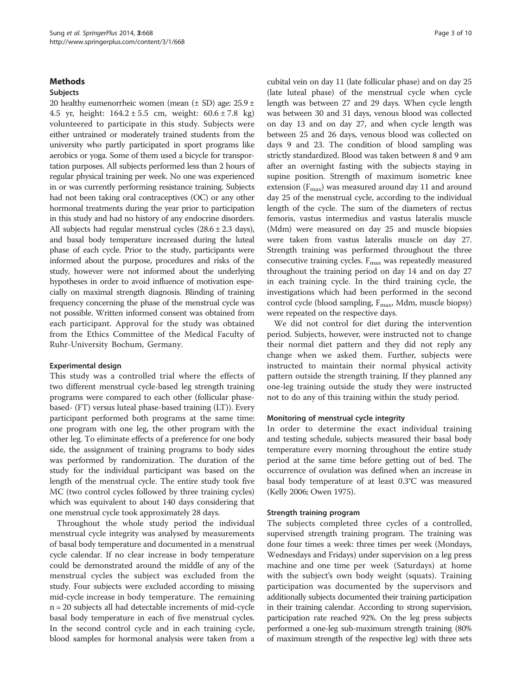### **Methods**

#### Subjects

20 healthy eumenorrheic women (mean  $(\pm SD)$  age: 25.9  $\pm$ 4.5 yr, height: 164.2 ± 5.5 cm, weight: 60.6 ± 7.8 kg) volunteered to participate in this study. Subjects were either untrained or moderately trained students from the university who partly participated in sport programs like aerobics or yoga. Some of them used a bicycle for transportation purposes. All subjects performed less than 2 hours of regular physical training per week. No one was experienced in or was currently performing resistance training. Subjects had not been taking oral contraceptives (OC) or any other hormonal treatments during the year prior to participation in this study and had no history of any endocrine disorders. All subjects had regular menstrual cycles  $(28.6 \pm 2.3 \text{ days})$ , and basal body temperature increased during the luteal phase of each cycle. Prior to the study, participants were informed about the purpose, procedures and risks of the study, however were not informed about the underlying hypotheses in order to avoid influence of motivation especially on maximal strength diagnosis. Blinding of training frequency concerning the phase of the menstrual cycle was not possible. Written informed consent was obtained from each participant. Approval for the study was obtained from the Ethics Committee of the Medical Faculty of Ruhr-University Bochum, Germany.

# Experimental design

This study was a controlled trial where the effects of two different menstrual cycle-based leg strength training programs were compared to each other (follicular phasebased- (FT) versus luteal phase-based training (LT)). Every participant performed both programs at the same time: one program with one leg, the other program with the other leg. To eliminate effects of a preference for one body side, the assignment of training programs to body sides was performed by randomization. The duration of the study for the individual participant was based on the length of the menstrual cycle. The entire study took five MC (two control cycles followed by three training cycles) which was equivalent to about 140 days considering that one menstrual cycle took approximately 28 days.

Throughout the whole study period the individual menstrual cycle integrity was analysed by measurements of basal body temperature and documented in a menstrual cycle calendar. If no clear increase in body temperature could be demonstrated around the middle of any of the menstrual cycles the subject was excluded from the study. Four subjects were excluded according to missing mid-cycle increase in body temperature. The remaining n = 20 subjects all had detectable increments of mid-cycle basal body temperature in each of five menstrual cycles. In the second control cycle and in each training cycle, blood samples for hormonal analysis were taken from a

cubital vein on day 11 (late follicular phase) and on day 25 (late luteal phase) of the menstrual cycle when cycle length was between 27 and 29 days. When cycle length was between 30 and 31 days, venous blood was collected on day 13 and on day 27, and when cycle length was between 25 and 26 days, venous blood was collected on days 9 and 23. The condition of blood sampling was strictly standardized. Blood was taken between 8 and 9 am after an overnight fasting with the subjects staying in supine position. Strength of maximum isometric knee extension  $(F_{\text{max}})$  was measured around day 11 and around day 25 of the menstrual cycle, according to the individual length of the cycle. The sum of the diameters of rectus femoris, vastus intermedius and vastus lateralis muscle (Mdm) were measured on day 25 and muscle biopsies were taken from vastus lateralis muscle on day 27. Strength training was performed throughout the three consecutive training cycles.  $F_{\text{max}}$  was repeatedly measured throughout the training period on day 14 and on day 27 in each training cycle. In the third training cycle, the investigations which had been performed in the second control cycle (blood sampling,  $F_{\text{max}}$ , Mdm, muscle biopsy) were repeated on the respective days.

We did not control for diet during the intervention period. Subjects, however, were instructed not to change their normal diet pattern and they did not reply any change when we asked them. Further, subjects were instructed to maintain their normal physical activity pattern outside the strength training. If they planned any one-leg training outside the study they were instructed not to do any of this training within the study period.

#### Monitoring of menstrual cycle integrity

In order to determine the exact individual training and testing schedule, subjects measured their basal body temperature every morning throughout the entire study period at the same time before getting out of bed. The occurrence of ovulation was defined when an increase in basal body temperature of at least 0.3°C was measured (Kelly [2006;](#page-9-0) Owen [1975](#page-9-0)).

#### Strength training program

The subjects completed three cycles of a controlled, supervised strength training program. The training was done four times a week: three times per week (Mondays, Wednesdays and Fridays) under supervision on a leg press machine and one time per week (Saturdays) at home with the subject's own body weight (squats). Training participation was documented by the supervisors and additionally subjects documented their training participation in their training calendar. According to strong supervision, participation rate reached 92%. On the leg press subjects performed a one-leg sub-maximum strength training (80% of maximum strength of the respective leg) with three sets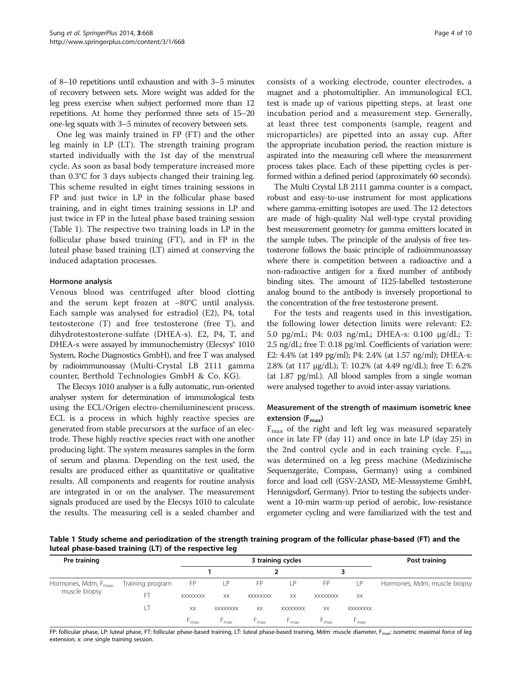of 8–10 repetitions until exhaustion and with 3–5 minutes of recovery between sets. More weight was added for the leg press exercise when subject performed more than 12 repetitions. At home they performed three sets of 15–20 one-leg squats with 3–5 minutes of recovery between sets.

One leg was mainly trained in FP (FT) and the other leg mainly in LP (LT). The strength training program started individually with the 1st day of the menstrual cycle. As soon as basal body temperature increased more than 0.3°C for 3 days subjects changed their training leg. This scheme resulted in eight times training sessions in FP and just twice in LP in the follicular phase based training, and in eight times training sessions in LP and just twice in FP in the luteal phase based training session (Table 1). The respective two training loads in LP in the follicular phase based training (FT), and in FP in the luteal phase based training (LT) aimed at conserving the induced adaptation processes.

#### Hormone analysis

Venous blood was centrifuged after blood clotting and the serum kept frozen at −80°C until analysis. Each sample was analysed for estradiol (E2), P4, total testosterone (T) and free testosterone (free T), and dihydrotestosterone-sulfate (DHEA-s). E2, P4, T, and DHEA-s were assayed by immunochemistry (Elecsys® 1010 System, Roche Diagnostics GmbH), and free T was analysed by radioimmunoassay (Multi-Crystal LB 2111 gamma counter, Berthold Technologies GmbH & Co. KG).

The Elecsys 1010 analyser is a fully automatic, run-oriented analyser system for determination of immunological tests using the ECL/Origen electro-chemiluminescent process. ECL is a process in which highly reactive species are generated from stable precursors at the surface of an electrode. These highly reactive species react with one another producing light. The system measures samples in the form of serum and plasma. Depending on the test used, the results are produced either as quantitative or qualitative results. All components and reagents for routine analysis are integrated in or on the analyser. The measurement signals produced are used by the Elecsys 1010 to calculate the results. The measuring cell is a sealed chamber and

consists of a working electrode, counter electrodes, a magnet and a photomultiplier. An immunological ECL test is made up of various pipetting steps, at least one incubation period and a measurement step. Generally, at least three test components (sample, reagent and microparticles) are pipetted into an assay cup. After the appropriate incubation period, the reaction mixture is aspirated into the measuring cell where the measurement process takes place. Each of these pipetting cycles is performed within a defined period (approximately 60 seconds).

The Multi Crystal LB 2111 gamma counter is a compact, robust and easy-to-use instrument for most applications where gamma-emitting isotopes are used. The 12 detectors are made of high-quality NaI well-type crystal providing best measurement geometry for gamma emitters located in the sample tubes. The principle of the analysis of free testosterone follows the basic principle of radioimmunoassay where there is competition between a radioactive and a non-radioactive antigen for a fixed number of antibody binding sites. The amount of I125-labelled testosterone analog bound to the antibody is inversely proportional to the concentration of the free testosterone present.

For the tests and reagents used in this investigation, the following lower detection limits were relevant: E2: 5.0 pg/mL; P4: 0.03 ng/mL; DHEA-s: 0.100 μg/dL; T: 2.5 ng/dL; free T: 0.18 pg/ml. Coefficients of variation were: E2: 4.4% (at 149 pg/ml); P4: 2.4% (at 1.57 ng/ml); DHEA-s: 2.8% (at 117 μg/dL); T: 10.2% (at 4.49 ng/dL); free T: 6.2% (at 1.87 pg/ml.). All blood samples from a single woman were analysed together to avoid inter-assay variations.

# Measurement of the strength of maximum isometric knee extension  $(F<sub>max</sub>)$

 $F_{\text{max}}$  of the right and left leg was measured separately once in late FP (day 11) and once in late LP (day 25) in the 2nd control cycle and in each training cycle.  $F_{\text{max}}$ was determined on a leg press machine (Medizinische Sequenzgeräte, Compass, Germany) using a combined force and load cell (GSV-2ASD, ME-Messsysteme GmbH, Hennigsdorf, Germany). Prior to testing the subjects underwent a 10-min warm-up period of aerobic, low-resistance ergometer cycling and were familiarized with the test and

Table 1 Study scheme and periodization of the strength training program of the follicular phase-based (FT) and the luteal phase-based training (LT) of the respective leg

| Pre training                      |                  | 3 training cycles |          |          |          |                 |                 | Post training                |  |
|-----------------------------------|------------------|-------------------|----------|----------|----------|-----------------|-----------------|------------------------------|--|
|                                   |                  |                   |          |          |          |                 |                 |                              |  |
| Hormones, Mdm, F <sub>max</sub> , | Training program | <b>FP</b>         | LΡ       | FP       | LP       | <b>FP</b>       | LР              | Hormones, Mdm, muscle biopsy |  |
| muscle biopsy                     | FΤ               | XXXXXXXX          | XX       | XXXXXXXX | XX       | <b>XXXXXXXX</b> | XX              |                              |  |
|                                   |                  | XX                | XXXXXXXX | XX       | XXXXXXXX | XX              | <b>XXXXXXXX</b> |                              |  |
|                                   |                  | max               | max      | max      | -max     | max             | ⊦max            |                              |  |

FP: follicular phase, LP: luteal phase, FT: follicular phase-based training, LT: luteal phase-based training, Mdm: muscle diameter, F<sub>max</sub>: isometric maximal force of leg extension, x: one single training session.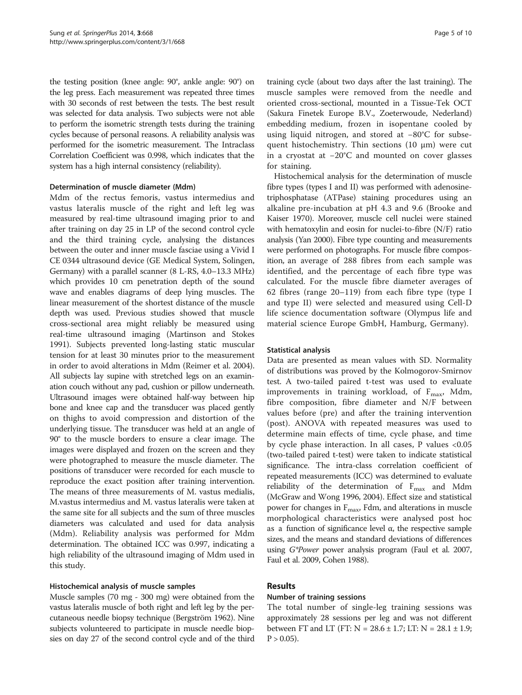the testing position (knee angle: 90°, ankle angle: 90°) on the leg press. Each measurement was repeated three times with 30 seconds of rest between the tests. The best result was selected for data analysis. Two subjects were not able to perform the isometric strength tests during the training cycles because of personal reasons. A reliability analysis was performed for the isometric measurement. The Intraclass Correlation Coefficient was 0.998, which indicates that the system has a high internal consistency (reliability).

### Determination of muscle diameter (Mdm)

Mdm of the rectus femoris, vastus intermedius and vastus lateralis muscle of the right and left leg was measured by real-time ultrasound imaging prior to and after training on day 25 in LP of the second control cycle and the third training cycle, analysing the distances between the outer and inner muscle fasciae using a Vivid I CE 0344 ultrasound device (GE Medical System, Solingen, Germany) with a parallel scanner (8 L-RS, 4.0–13.3 MHz) which provides 10 cm penetration depth of the sound wave and enables diagrams of deep lying muscles. The linear measurement of the shortest distance of the muscle depth was used. Previous studies showed that muscle cross-sectional area might reliably be measured using real-time ultrasound imaging (Martinson and Stokes [1991\)](#page-9-0). Subjects prevented long-lasting static muscular tension for at least 30 minutes prior to the measurement in order to avoid alterations in Mdm (Reimer et al. [2004](#page-9-0)). All subjects lay supine with stretched legs on an examination couch without any pad, cushion or pillow underneath. Ultrasound images were obtained half-way between hip bone and knee cap and the transducer was placed gently on thighs to avoid compression and distortion of the underlying tissue. The transducer was held at an angle of 90° to the muscle borders to ensure a clear image. The images were displayed and frozen on the screen and they were photographed to measure the muscle diameter. The positions of transducer were recorded for each muscle to reproduce the exact position after training intervention. The means of three measurements of M. vastus medialis, M.vastus intermedius and M. vastus lateralis were taken at the same site for all subjects and the sum of three muscles diameters was calculated and used for data analysis (Mdm). Reliability analysis was performed for Mdm determination. The obtained ICC was 0.997, indicating a high reliability of the ultrasound imaging of Mdm used in this study.

## Histochemical analysis of muscle samples

Muscle samples (70 mg - 300 mg) were obtained from the vastus lateralis muscle of both right and left leg by the percutaneous needle biopsy technique (Bergström [1962](#page-9-0)). Nine subjects volunteered to participate in muscle needle biopsies on day 27 of the second control cycle and of the third training cycle (about two days after the last training). The muscle samples were removed from the needle and oriented cross-sectional, mounted in a Tissue-Tek OCT (Sakura Finetek Europe B.V., Zoeterwoude, Nederland) embedding medium, frozen in isopentane cooled by using liquid nitrogen, and stored at −80°C for subsequent histochemistry. Thin sections  $(10 \mu m)$  were cut in a cryostat at −20°C and mounted on cover glasses for staining.

Histochemical analysis for the determination of muscle fibre types (types Ι and ΙΙ) was performed with adenosinetriphosphatase (ATPase) staining procedures using an alkaline pre-incubation at pH 4.3 and 9.6 (Brooke and Kaiser [1970](#page-9-0)). Moreover, muscle cell nuclei were stained with hematoxylin and eosin for nuclei-to-fibre (N/F) ratio analysis (Yan [2000\)](#page-9-0). Fibre type counting and measurements were performed on photographs. For muscle fibre composition, an average of 288 fibres from each sample was identified, and the percentage of each fibre type was calculated. For the muscle fibre diameter averages of 62 fibres (range 20–119) from each fibre type (type Ι and type ΙΙ) were selected and measured using Cell-D life science documentation software (Olympus life and material science Europe GmbH, Hamburg, Germany).

# Statistical analysis

Data are presented as mean values with SD. Normality of distributions was proved by the Kolmogorov-Smirnov test. A two-tailed paired t-test was used to evaluate improvements in training workload, of  $F_{\text{max}}$ , Mdm, fibre composition, fibre diameter and N/F between values before (pre) and after the training intervention (post). ANOVA with repeated measures was used to determine main effects of time, cycle phase, and time by cycle phase interaction. In all cases, P values <0.05 (two-tailed paired t-test) were taken to indicate statistical significance. The intra-class correlation coefficient of repeated measurements (ICC) was determined to evaluate reliability of the determination of  $F_{\text{max}}$  and Mdm (McGraw and Wong [1996, 2004\)](#page-9-0). Effect size and statistical power for changes in  $F_{\text{max}}$ , Fdm, and alterations in muscle morphological characteristics were analysed post hoc as a function of significance level α, the respective sample sizes, and the means and standard deviations of differences using G\*Power power analysis program (Faul et al. [2007](#page-9-0), Faul et al. [2009,](#page-9-0) Cohen [1988\)](#page-9-0).

# Results

# Number of training sessions

The total number of single-leg training sessions was approximately 28 sessions per leg and was not different between FT and LT (FT:  $N = 28.6 \pm 1.7$ ; LT:  $N = 28.1 \pm 1.9$ ;  $P > 0.05$ ).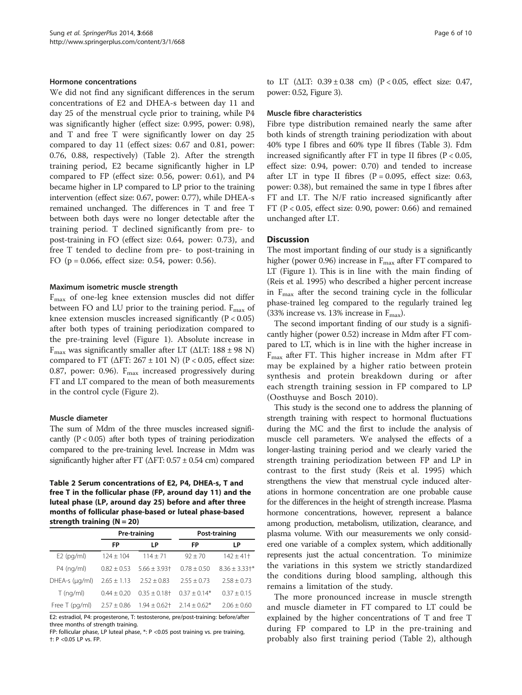#### Hormone concentrations

We did not find any significant differences in the serum concentrations of E2 and DHEA-s between day 11 and day 25 of the menstrual cycle prior to training, while P4 was significantly higher (effect size: 0.995, power: 0.98), and T and free T were significantly lower on day 25 compared to day 11 (effect sizes: 0.67 and 0.81, power: 0.76, 0.88, respectively) (Table 2). After the strength training period, E2 became significantly higher in LP compared to FP (effect size: 0.56, power: 0.61), and P4 became higher in LP compared to LP prior to the training intervention (effect size: 0.67, power: 0.77), while DHEA-s remained unchanged. The differences in T and free T between both days were no longer detectable after the training period. T declined significantly from pre- to post-training in FO (effect size: 0.64, power: 0.73), and free T tended to decline from pre- to post-training in FO (p = 0.066, effect size: 0.54, power: 0.56).

#### Maximum isometric muscle strength

 $F_{\text{max}}$  of one-leg knee extension muscles did not differ between FO and LU prior to the training period.  $F_{\text{max}}$  of knee extension muscles increased significantly  $(P < 0.05)$ after both types of training periodization compared to the pre-training level (Figure [1\)](#page-6-0). Absolute increase in  $F_{\text{max}}$  was significantly smaller after LT ( $\Delta$ LT: 188 ± 98 N) compared to FT ( $\Delta$ FT: 267 ± 101 N) (P < 0.05, effect size: 0.87, power: 0.96).  $F_{\text{max}}$  increased progressively during FT and LT compared to the mean of both measurements in the control cycle (Figure [2\)](#page-6-0).

#### Muscle diameter

The sum of Mdm of the three muscles increased significantly  $(P < 0.05)$  after both types of training periodization compared to the pre-training level. Increase in Mdm was significantly higher after FT ( $\Delta$ FT: 0.57  $\pm$  0.54 cm) compared

Table 2 Serum concentrations of E2, P4, DHEA-s, T and free T in the follicular phase (FP, around day 11) and the luteal phase (LP, around day 25) before and after three months of follicular phase-based or luteal phase-based strength training  $(N = 20)$ 

|                         |                 | Pre-training                 | Post-training  |                      |  |  |
|-------------------------|-----------------|------------------------------|----------------|----------------------|--|--|
|                         | FP              | LР                           | FP             | LP                   |  |  |
| $E2$ (pg/ml)            | $124 + 104$     | $114 + 71$                   | $92 + 70$      | $142 \pm 41$ †       |  |  |
| $P4$ (ng/ml)            | $0.82 + 0.53$   | $5.66 \pm 3.93$ †            | $0.78 + 0.50$  | $8.36 \pm 3.33^{+*}$ |  |  |
| $DHEA-s$ ( $\mu q/ml$ ) | $2.65 \pm 1.13$ | $2.52 + 0.83$                | $2.55 + 0.73$  | $2.58 + 0.73$        |  |  |
| $T$ (ng/ml)             | $0.44 + 0.20$   | $0.35 \pm 0.18$ <sup>+</sup> | $0.37 + 0.14*$ | $0.37 + 0.15$        |  |  |
| Free T (pg/ml)          | $2.57 \pm 0.86$ | $1.94 \pm 0.62$ †            | $2.14 + 0.62*$ | $2.06 \pm 0.60$      |  |  |

E2: estradiol, P4: progesterone, T: testosterone, pre/post-training: before/after three months of strength training.

FP: follicular phase, LP luteal phase, \*: P <0.05 post training vs. pre training, †: P <0.05 LP vs. FP.

to LT ( $\triangle$ LT:  $0.39 \pm 0.38$  cm) (P < 0.05, effect size: 0.47, power: 0.52, Figure [3\)](#page-7-0).

#### Muscle fibre characteristics

Fibre type distribution remained nearly the same after both kinds of strength training periodization with about 40% type I fibres and 60% type II fibres (Table [3\)](#page-7-0). Fdm increased significantly after FT in type II fibres ( $P < 0.05$ , effect size: 0.94, power: 0.70) and tended to increase after LT in type II fibres  $(P = 0.095,$  effect size: 0.63, power: 0.38), but remained the same in type I fibres after FT and LT. The N/F ratio increased significantly after FT ( $P < 0.05$ , effect size: 0.90, power: 0.66) and remained unchanged after LT.

#### **Discussion**

The most important finding of our study is a significantly higher (power 0.96) increase in  $F_{\text{max}}$  after FT compared to LT (Figure [1](#page-6-0)). This is in line with the main finding of (Reis et al. [1995](#page-9-0)) who described a higher percent increase in  $F_{\text{max}}$  after the second training cycle in the follicular phase-trained leg compared to the regularly trained leg (33% increase vs. 13% increase in  $F_{\text{max}}$ ).

The second important finding of our study is a significantly higher (power 0.52) increase in Mdm after FT compared to LT, which is in line with the higher increase in  $F_{\text{max}}$  after FT. This higher increase in Mdm after FT may be explained by a higher ratio between protein synthesis and protein breakdown during or after each strength training session in FP compared to LP (Oosthuyse and Bosch [2010\)](#page-9-0).

This study is the second one to address the planning of strength training with respect to hormonal fluctuations during the MC and the first to include the analysis of muscle cell parameters. We analysed the effects of a longer-lasting training period and we clearly varied the strength training periodization between FP and LP in contrast to the first study (Reis et al. [1995\)](#page-9-0) which strengthens the view that menstrual cycle induced alterations in hormone concentration are one probable cause for the differences in the height of strength increase. Plasma hormone concentrations, however, represent a balance among production, metabolism, utilization, clearance, and plasma volume. With our measurements we only considered one variable of a complex system, which additionally represents just the actual concentration. To minimize the variations in this system we strictly standardized the conditions during blood sampling, although this remains a limitation of the study.

The more pronounced increase in muscle strength and muscle diameter in FT compared to LT could be explained by the higher concentrations of T and free T during FP compared to LP in the pre-training and probably also first training period (Table 2), although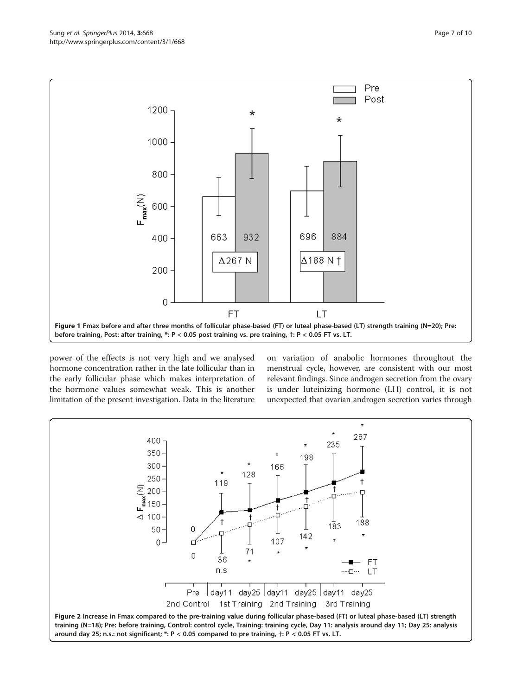<span id="page-6-0"></span>

Figure 1 Fmax before and after three months of follicular phase-based (FT) or luteal phase-based (LT) strength training (N=20); Pre: before training, Post: after training, \*: P < 0.05 post training vs. pre training, †: P < 0.05 FT vs. LT.

power of the effects is not very high and we analysed hormone concentration rather in the late follicular than in the early follicular phase which makes interpretation of the hormone values somewhat weak. This is another limitation of the present investigation. Data in the literature on variation of anabolic hormones throughout the menstrual cycle, however, are consistent with our most relevant findings. Since androgen secretion from the ovary is under luteinizing hormone (LH) control, it is not unexpected that ovarian androgen secretion varies through

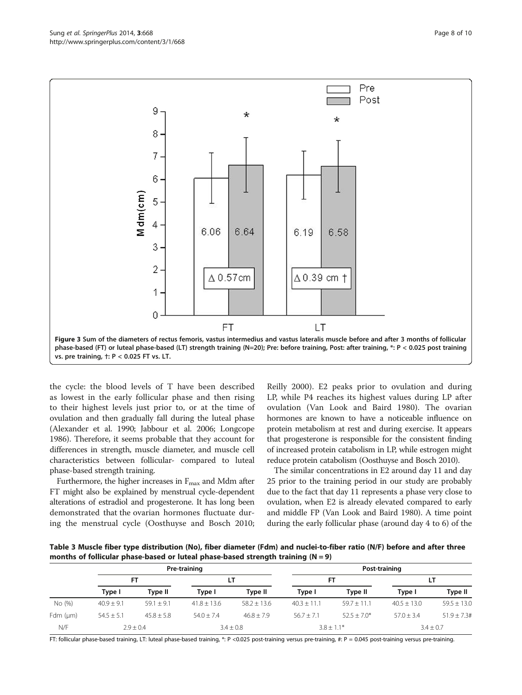<span id="page-7-0"></span>

the cycle: the blood levels of T have been described as lowest in the early follicular phase and then rising to their highest levels just prior to, or at the time of ovulation and then gradually fall during the luteal phase (Alexander et al. [1990;](#page-9-0) Jabbour et al. [2006;](#page-9-0) Longcope [1986\)](#page-9-0). Therefore, it seems probable that they account for differences in strength, muscle diameter, and muscle cell characteristics between follicular- compared to luteal phase-based strength training.

Furthermore, the higher increases in  $F_{\text{max}}$  and Mdm after FT might also be explained by menstrual cycle-dependent alterations of estradiol and progesterone. It has long been demonstrated that the ovarian hormones fluctuate during the menstrual cycle (Oosthuyse and Bosch [2010](#page-9-0);

Reilly [2000\)](#page-9-0). E2 peaks prior to ovulation and during LP, while P4 reaches its highest values during LP after ovulation (Van Look and Baird [1980](#page-9-0)). The ovarian hormones are known to have a noticeable influence on protein metabolism at rest and during exercise. It appears that progesterone is responsible for the consistent finding of increased protein catabolism in LP, while estrogen might reduce protein catabolism (Oosthuyse and Bosch [2010\)](#page-9-0).

The similar concentrations in E2 around day 11 and day 25 prior to the training period in our study are probably due to the fact that day 11 represents a phase very close to ovulation, when E2 is already elevated compared to early and middle FP (Van Look and Baird [1980\)](#page-9-0). A time point during the early follicular phase (around day 4 to 6) of the

Table 3 Muscle fiber type distribution (No), fiber diameter (Fdm) and nuclei-to-fiber ratio (N/F) before and after three months of follicular phase-based or luteal phase-based strength training  $(N = 9)$ 

|                  |                | Pre-training   |                |                 |                 | Post-training   |                |                  |  |  |
|------------------|----------------|----------------|----------------|-----------------|-----------------|-----------------|----------------|------------------|--|--|
|                  | <b>FT</b>      |                | LΤ             |                 |                 | FT              | LT.            |                  |  |  |
|                  | Type I         | Type II        | Tvpe I         | Type II         | Type I          | Type II         | Type I         | Type II          |  |  |
| No (%)           | $40.9 \pm 9.1$ | $59.1 + 9.1$   | $41.8 + 13.6$  | $58.2 \pm 13.6$ | $40.3 \pm 11.1$ | $59.7 \pm 11.1$ | $40.5 + 13.0$  | $59.5 \pm 13.0$  |  |  |
| $Fdm$ ( $\mu$ m) | $54.5 \pm 5.1$ | $45.8 \pm 5.8$ | $54.0 \pm 7.4$ | $46.8 \pm 7.9$  | $56.7 \pm 7.1$  | $52.5 + 7.0*$   | $57.0 \pm 3.4$ | $51.9 \pm 7.3$ # |  |  |
| N/F              |                | $2.9 + 0.4$    |                | $3.4 \pm 0.8$   |                 | $3.8 + 1.1*$    | $3.4 \pm 0.7$  |                  |  |  |

FT: follicular phase-based training, LT: luteal phase-based training, \*: P <0.025 post-training versus pre-training, #: P = 0.045 post-training versus pre-training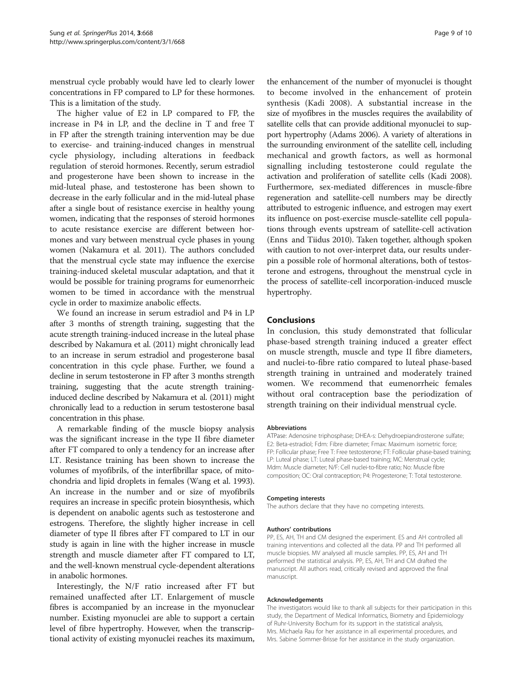menstrual cycle probably would have led to clearly lower concentrations in FP compared to LP for these hormones. This is a limitation of the study.

The higher value of E2 in LP compared to FP, the increase in P4 in LP, and the decline in T and free T in FP after the strength training intervention may be due to exercise- and training-induced changes in menstrual cycle physiology, including alterations in feedback regulation of steroid hormones. Recently, serum estradiol and progesterone have been shown to increase in the mid-luteal phase, and testosterone has been shown to decrease in the early follicular and in the mid-luteal phase after a single bout of resistance exercise in healthy young women, indicating that the responses of steroid hormones to acute resistance exercise are different between hormones and vary between menstrual cycle phases in young women (Nakamura et al. [2011\)](#page-9-0). The authors concluded that the menstrual cycle state may influence the exercise training-induced skeletal muscular adaptation, and that it would be possible for training programs for eumenorrheic women to be timed in accordance with the menstrual cycle in order to maximize anabolic effects.

We found an increase in serum estradiol and P4 in LP after 3 months of strength training, suggesting that the acute strength training-induced increase in the luteal phase described by Nakamura et al. ([2011\)](#page-9-0) might chronically lead to an increase in serum estradiol and progesterone basal concentration in this cycle phase. Further, we found a decline in serum testosterone in FP after 3 months strength training, suggesting that the acute strength traininginduced decline described by Nakamura et al. ([2011](#page-9-0)) might chronically lead to a reduction in serum testosterone basal concentration in this phase.

A remarkable finding of the muscle biopsy analysis was the significant increase in the type II fibre diameter after FT compared to only a tendency for an increase after LT. Resistance training has been shown to increase the volumes of myofibrils, of the interfibrillar space, of mitochondria and lipid droplets in females (Wang et al. [1993](#page-9-0)). An increase in the number and or size of myofibrils requires an increase in specific protein biosynthesis, which is dependent on anabolic agents such as testosterone and estrogens. Therefore, the slightly higher increase in cell diameter of type II fibres after FT compared to LT in our study is again in line with the higher increase in muscle strength and muscle diameter after FT compared to LT, and the well-known menstrual cycle-dependent alterations in anabolic hormones.

Interestingly, the N/F ratio increased after FT but remained unaffected after LT. Enlargement of muscle fibres is accompanied by an increase in the myonuclear number. Existing myonuclei are able to support a certain level of fibre hypertrophy. However, when the transcriptional activity of existing myonuclei reaches its maximum, the enhancement of the number of myonuclei is thought to become involved in the enhancement of protein synthesis (Kadi [2008](#page-9-0)). A substantial increase in the size of myofibres in the muscles requires the availability of satellite cells that can provide additional myonuclei to support hypertrophy (Adams [2006\)](#page-9-0). A variety of alterations in the surrounding environment of the satellite cell, including mechanical and growth factors, as well as hormonal signalling including testosterone could regulate the activation and proliferation of satellite cells (Kadi [2008](#page-9-0)). Furthermore, sex-mediated differences in muscle-fibre regeneration and satellite-cell numbers may be directly attributed to estrogenic influence, and estrogen may exert its influence on post-exercise muscle-satellite cell populations through events upstream of satellite-cell activation (Enns and Tiidus [2010\)](#page-9-0). Taken together, although spoken with caution to not over-interpret data, our results underpin a possible role of hormonal alterations, both of testosterone and estrogens, throughout the menstrual cycle in the process of satellite-cell incorporation-induced muscle hypertrophy.

# **Conclusions**

In conclusion, this study demonstrated that follicular phase-based strength training induced a greater effect on muscle strength, muscle and type II fibre diameters, and nuclei-to-fibre ratio compared to luteal phase-based strength training in untrained and moderately trained women. We recommend that eumenorrheic females without oral contraception base the periodization of strength training on their individual menstrual cycle.

#### Abbreviations

ATPase: Adenosine triphosphase; DHEA-s: Dehydroepiandrosterone sulfate; E2: Beta-estradiol; Fdm: Fibre diameter; Fmax: Maximum isometric force; FP: Follicular phase; Free T: Free testosterone; FT: Follicular phase-based training; LP: Luteal phase; LT: Luteal phase-based training; MC: Menstrual cycle; Mdm: Muscle diameter; N/F: Cell nuclei-to-fibre ratio; No: Muscle fibre composition; OC: Oral contraception; P4: Progesterone; T: Total testosterone.

#### Competing interests

The authors declare that they have no competing interests.

#### Authors' contributions

PP, ES, AH, TH and CM designed the experiment. ES and AH controlled all training interventions and collected all the data. PP and TH performed all muscle biopsies. MV analysed all muscle samples. PP, ES, AH and TH performed the statistical analysis. PP, ES, AH, TH and CM drafted the manuscript. All authors read, critically revised and approved the final manuscript.

#### Acknowledgements

The investigators would like to thank all subjects for their participation in this study, the Department of Medical Informatics, Biometry and Epidemiology of Ruhr-University Bochum for its support in the statistical analysis, Mrs. Michaela Rau for her assistance in all experimental procedures, and Mrs. Sabine Sommer-Brisse for her assistance in the study organization.